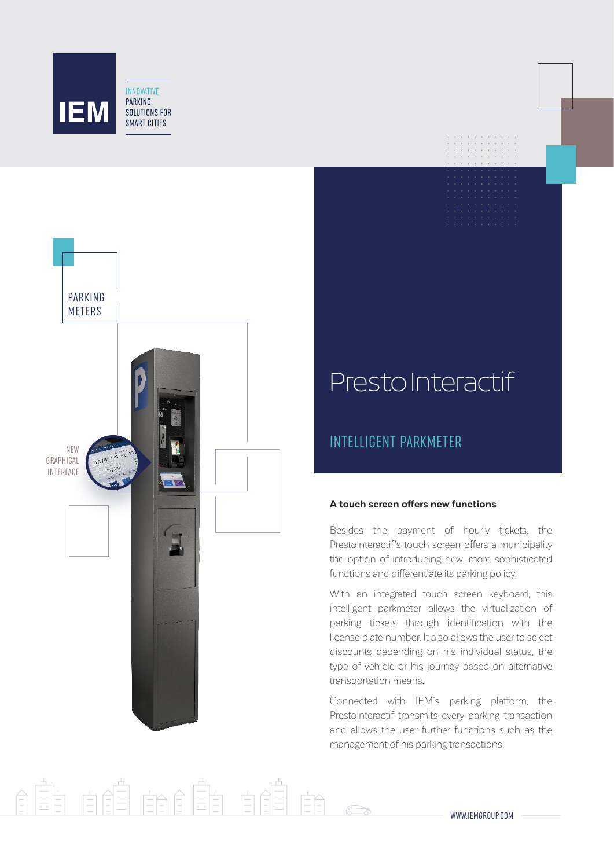



## PrestoInteractif

### INTELLIGENT PARKMETER

#### **A touch screen offers new functions**

Besides the payment of hourly tickets, the PrestoInteractif's touch screen offers a municipality the option of introducing new, more sophisticated functions and differentiate its parking policy.

With an integrated touch screen keyboard, this intelligent parkmeter allows the virtualization of parking tickets through identification with the license plate number. It also allows the user to select discounts depending on his individual status, the type of vehicle or his journey based on alternative transportation means.

Connected with IEM's parking platform, the PrestoInteractif transmits every parking transaction and allows the user further functions such as the management of his parking transactions.

# H dél éndên dé